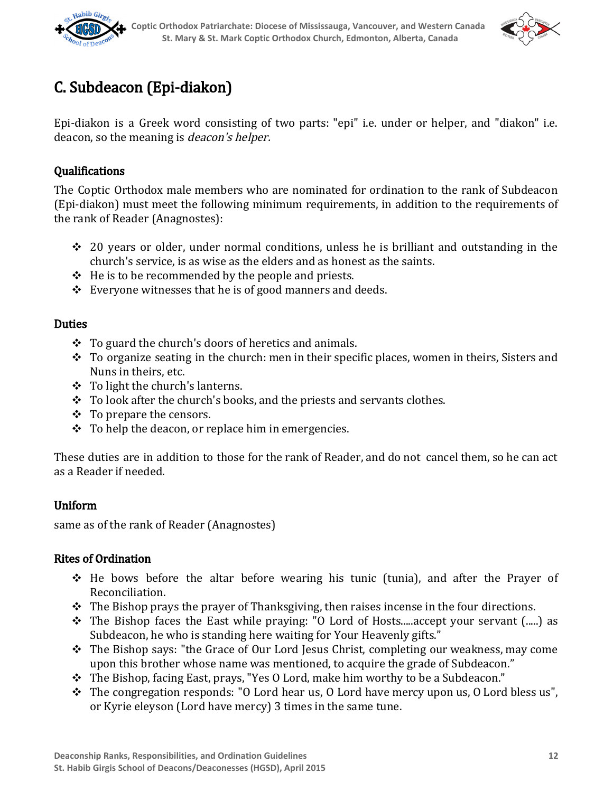



# C. Subdeacon (Epi‑diakon)

Epi‑diakon is a Greek word consisting of two parts: "epi" i.e. under or helper, and "diakon" i.e. deacon, so the meaning is deacon's helper.

### Qualifications

The Coptic Orthodox male members who are nominated for ordination to the rank of Subdeacon (Epi‑diakon) must meet the following minimum requirements, in addition to the requirements of the rank of Reader (Anagnostes):

- ❖ 20 years or older, under normal conditions, unless he is brilliant and outstanding in the church's service, is as wise as the elders and as honest as the saints.
- $\div$  He is to be recommended by the people and priests.
- $\div$  Everyone witnesses that he is of good manners and deeds.

#### **Duties**

- $\div$  To guard the church's doors of heretics and animals.
- ❖ To organize seating in the church: men in their specific places, women in theirs, Sisters and Nuns in theirs, etc.
- ❖ To light the church's lanterns.
- ❖ To look after the church's books, and the priests and servants clothes.
- ❖ To prepare the censors.
- $\div$  To help the deacon, or replace him in emergencies.

These duties are in addition to those for the rank of Reader, and do not cancel them, so he can act as a Reader if needed.

#### Uniform

same as of the rank of Reader (Anagnostes)

#### Rites of Ordination

- ❖ He bows before the altar before wearing his tunic (tunia), and after the Prayer of Reconciliation.
- $\div$  The Bishop prays the prayer of Thanksgiving, then raises incense in the four directions.
- ❖ The Bishop faces the East while praying: "O Lord of Hosts.....accept your servant (.....) as Subdeacon, he who is standing here waiting for Your Heavenly gifts."
- ❖ The Bishop says: "the Grace of Our Lord Jesus Christ, completing our weakness, may come upon this brother whose name was mentioned, to acquire the grade of Subdeacon."
- ❖ The Bishop, facing East, prays, "Yes O Lord, make him worthy to be a Subdeacon."
- ❖ The congregation responds: "O Lord hear us, O Lord have mercy upon us, O Lord bless us", or Kyrie eleyson (Lord have mercy) 3 times in the same tune.